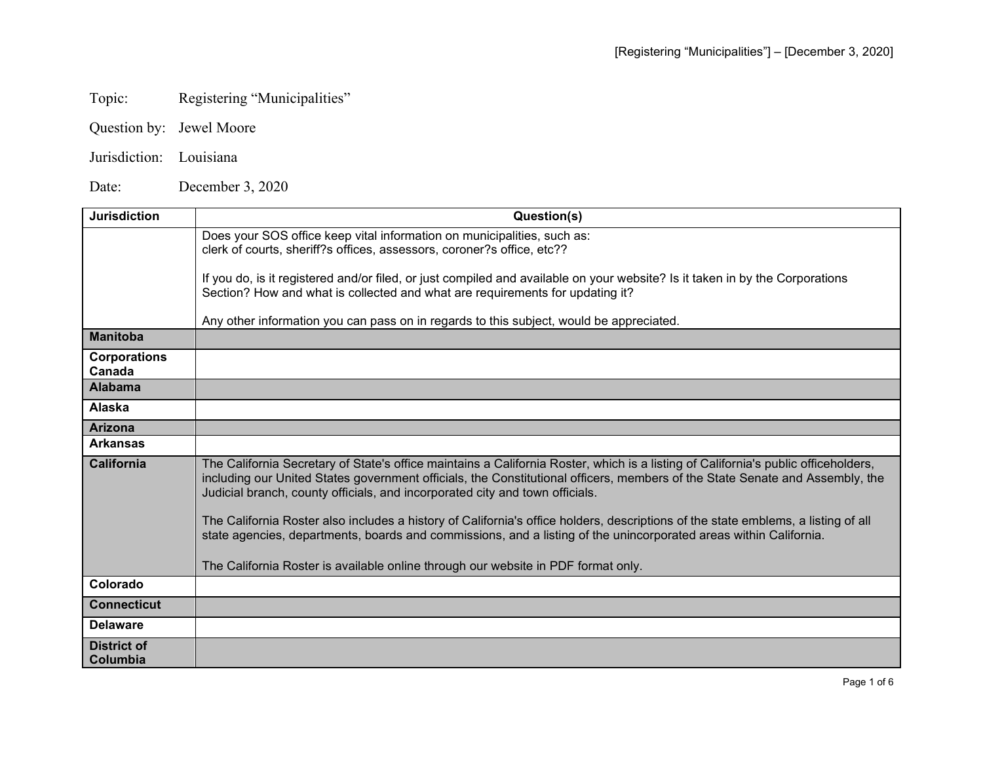## Topic: Registering "Municipalities"

- Question by: Jewel Moore
- Jurisdiction: Louisiana

Date: December 3, 2020

| <b>Jurisdiction</b>           | Question(s)                                                                                                                                                                                                                                                                                                                                        |
|-------------------------------|----------------------------------------------------------------------------------------------------------------------------------------------------------------------------------------------------------------------------------------------------------------------------------------------------------------------------------------------------|
|                               | Does your SOS office keep vital information on municipalities, such as:<br>clerk of courts, sheriff?s offices, assessors, coroner?s office, etc??                                                                                                                                                                                                  |
|                               | If you do, is it registered and/or filed, or just compiled and available on your website? Is it taken in by the Corporations<br>Section? How and what is collected and what are requirements for updating it?                                                                                                                                      |
|                               | Any other information you can pass on in regards to this subject, would be appreciated.                                                                                                                                                                                                                                                            |
| <b>Manitoba</b>               |                                                                                                                                                                                                                                                                                                                                                    |
| <b>Corporations</b><br>Canada |                                                                                                                                                                                                                                                                                                                                                    |
| <b>Alabama</b>                |                                                                                                                                                                                                                                                                                                                                                    |
| Alaska                        |                                                                                                                                                                                                                                                                                                                                                    |
| <b>Arizona</b>                |                                                                                                                                                                                                                                                                                                                                                    |
| <b>Arkansas</b>               |                                                                                                                                                                                                                                                                                                                                                    |
| <b>California</b>             | The California Secretary of State's office maintains a California Roster, which is a listing of California's public officeholders,<br>including our United States government officials, the Constitutional officers, members of the State Senate and Assembly, the<br>Judicial branch, county officials, and incorporated city and town officials. |
|                               | The California Roster also includes a history of California's office holders, descriptions of the state emblems, a listing of all<br>state agencies, departments, boards and commissions, and a listing of the unincorporated areas within California.                                                                                             |
|                               | The California Roster is available online through our website in PDF format only.                                                                                                                                                                                                                                                                  |
| Colorado                      |                                                                                                                                                                                                                                                                                                                                                    |
| <b>Connecticut</b>            |                                                                                                                                                                                                                                                                                                                                                    |
| <b>Delaware</b>               |                                                                                                                                                                                                                                                                                                                                                    |
| District of<br>Columbia       |                                                                                                                                                                                                                                                                                                                                                    |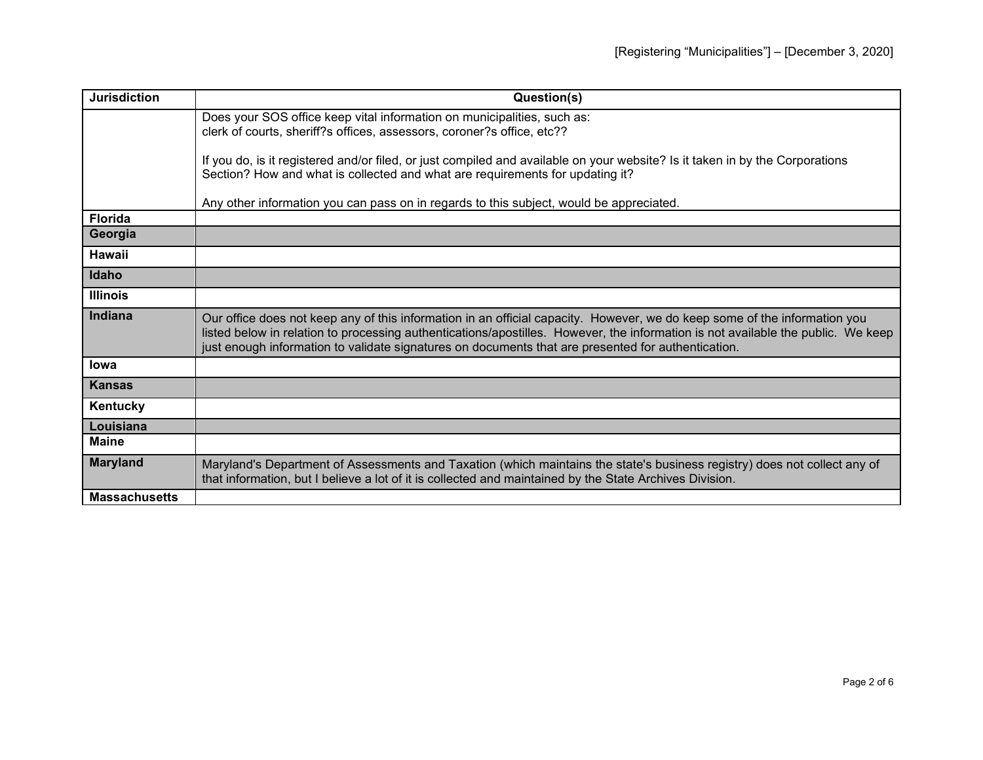| <b>Jurisdiction</b>  | Question(s)                                                                                                                                                                                                                                                                                                                                                         |
|----------------------|---------------------------------------------------------------------------------------------------------------------------------------------------------------------------------------------------------------------------------------------------------------------------------------------------------------------------------------------------------------------|
|                      | Does your SOS office keep vital information on municipalities, such as:<br>clerk of courts, sheriff?s offices, assessors, coroner?s office, etc??                                                                                                                                                                                                                   |
|                      | If you do, is it registered and/or filed, or just compiled and available on your website? Is it taken in by the Corporations<br>Section? How and what is collected and what are requirements for updating it?                                                                                                                                                       |
|                      | Any other information you can pass on in regards to this subject, would be appreciated.                                                                                                                                                                                                                                                                             |
| <b>Florida</b>       |                                                                                                                                                                                                                                                                                                                                                                     |
| Georgia              |                                                                                                                                                                                                                                                                                                                                                                     |
| <b>Hawaii</b>        |                                                                                                                                                                                                                                                                                                                                                                     |
| Idaho                |                                                                                                                                                                                                                                                                                                                                                                     |
| <b>Illinois</b>      |                                                                                                                                                                                                                                                                                                                                                                     |
| Indiana              | Our office does not keep any of this information in an official capacity. However, we do keep some of the information you<br>listed below in relation to processing authentications/apostilles. However, the information is not available the public. We keep<br>just enough information to validate signatures on documents that are presented for authentication. |
| lowa                 |                                                                                                                                                                                                                                                                                                                                                                     |
| <b>Kansas</b>        |                                                                                                                                                                                                                                                                                                                                                                     |
| Kentucky             |                                                                                                                                                                                                                                                                                                                                                                     |
| Louisiana            |                                                                                                                                                                                                                                                                                                                                                                     |
| <b>Maine</b>         |                                                                                                                                                                                                                                                                                                                                                                     |
| <b>Maryland</b>      | Maryland's Department of Assessments and Taxation (which maintains the state's business registry) does not collect any of<br>that information, but I believe a lot of it is collected and maintained by the State Archives Division.                                                                                                                                |
| <b>Massachusetts</b> |                                                                                                                                                                                                                                                                                                                                                                     |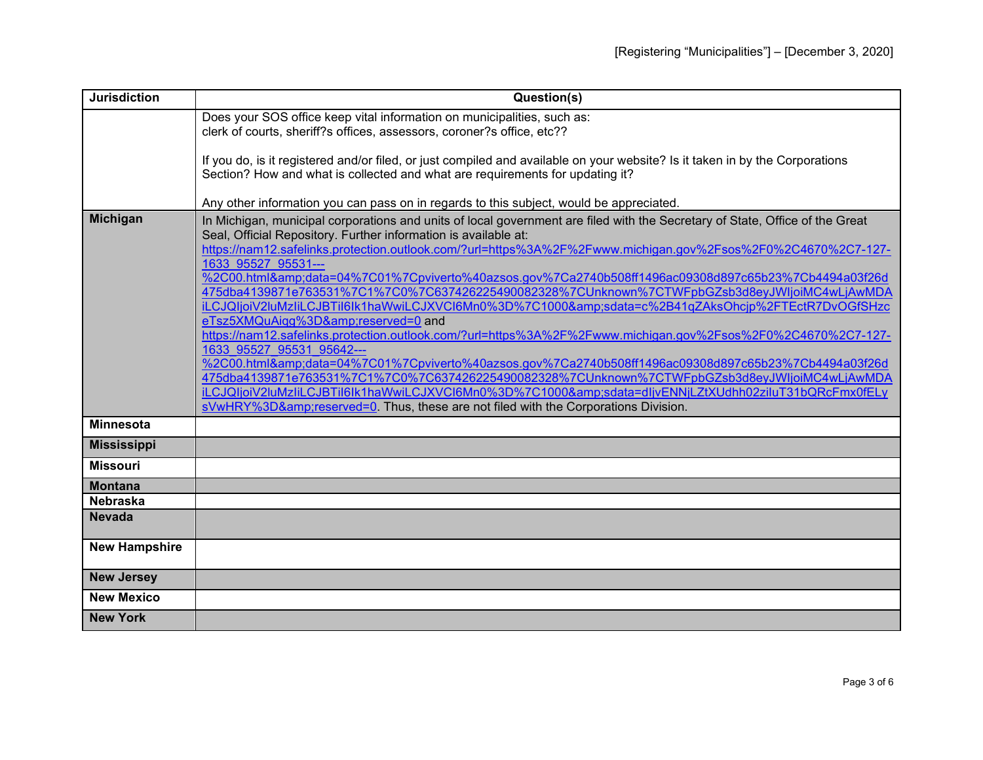| <b>Jurisdiction</b>  | Question(s)                                                                                                                                                                                         |
|----------------------|-----------------------------------------------------------------------------------------------------------------------------------------------------------------------------------------------------|
|                      | Does your SOS office keep vital information on municipalities, such as:                                                                                                                             |
|                      | clerk of courts, sheriff?s offices, assessors, coroner?s office, etc??                                                                                                                              |
|                      | If you do, is it registered and/or filed, or just compiled and available on your website? Is it taken in by the Corporations                                                                        |
|                      | Section? How and what is collected and what are requirements for updating it?                                                                                                                       |
|                      |                                                                                                                                                                                                     |
| <b>Michigan</b>      | Any other information you can pass on in regards to this subject, would be appreciated.                                                                                                             |
|                      | In Michigan, municipal corporations and units of local government are filed with the Secretary of State, Office of the Great<br>Seal, Official Repository. Further information is available at:     |
|                      | https://nam12.safelinks.protection.outlook.com/?url=https%3A%2F%2Fwww.michigan.gov%2Fsos%2F0%2C4670%2C7-127-                                                                                        |
|                      | 1633 95527 95531---                                                                                                                                                                                 |
|                      | %2C00.html&data=04%7C01%7Cpviverto%40azsos.gov%7Ca2740b508ff1496ac09308d897c65b23%7Cb4494a03f26d                                                                                                    |
|                      | 475dba4139871e763531%7C1%7C0%7C637426225490082328%7CUnknown%7CTWFpbGZsb3d8eyJWljoiMC4wLjAwMDA<br>iLCJQIjoiV2luMzIiLCJBTiI6lk1haWwiLCJXVCI6Mn0%3D%7C1000&sdata=c%2B41qZAksOhcjp%2FTEctR7DvOGfSHzc    |
|                      | eTsz5XMQuAiqg%3D&reserved=0 and                                                                                                                                                                     |
|                      | https://nam12.safelinks.protection.outlook.com/?url=https%3A%2F%2Fwww.michigan.gov%2Fsos%2F0%2C4670%2C7-127-                                                                                        |
|                      | 1633 95527 95531 95642---                                                                                                                                                                           |
|                      | %2C00.html&data=04%7C01%7Cpviverto%40azsos.gov%7Ca2740b508ff1496ac09308d897c65b23%7Cb4494a03f26d                                                                                                    |
|                      | 475dba4139871e763531%7C1%7C0%7C637426225490082328%7CUnknown%7CTWFpbGZsb3d8eyJWljoiMC4wLjAwMDA<br>iLCJQljoiV2luMzliLCJBTil6lk1haWwiLCJXVCl6Mn0%3D%7C1000&sdata=dljvENNjLZtXUdhh02ziluT31bQRcFmx0fELy |
|                      | sVwHRY%3D&reserved=0. Thus, these are not filed with the Corporations Division.                                                                                                                     |
| <b>Minnesota</b>     |                                                                                                                                                                                                     |
| <b>Mississippi</b>   |                                                                                                                                                                                                     |
| <b>Missouri</b>      |                                                                                                                                                                                                     |
| <b>Montana</b>       |                                                                                                                                                                                                     |
| <b>Nebraska</b>      |                                                                                                                                                                                                     |
| <b>Nevada</b>        |                                                                                                                                                                                                     |
| <b>New Hampshire</b> |                                                                                                                                                                                                     |
|                      |                                                                                                                                                                                                     |
| <b>New Jersey</b>    |                                                                                                                                                                                                     |
| <b>New Mexico</b>    |                                                                                                                                                                                                     |
| <b>New York</b>      |                                                                                                                                                                                                     |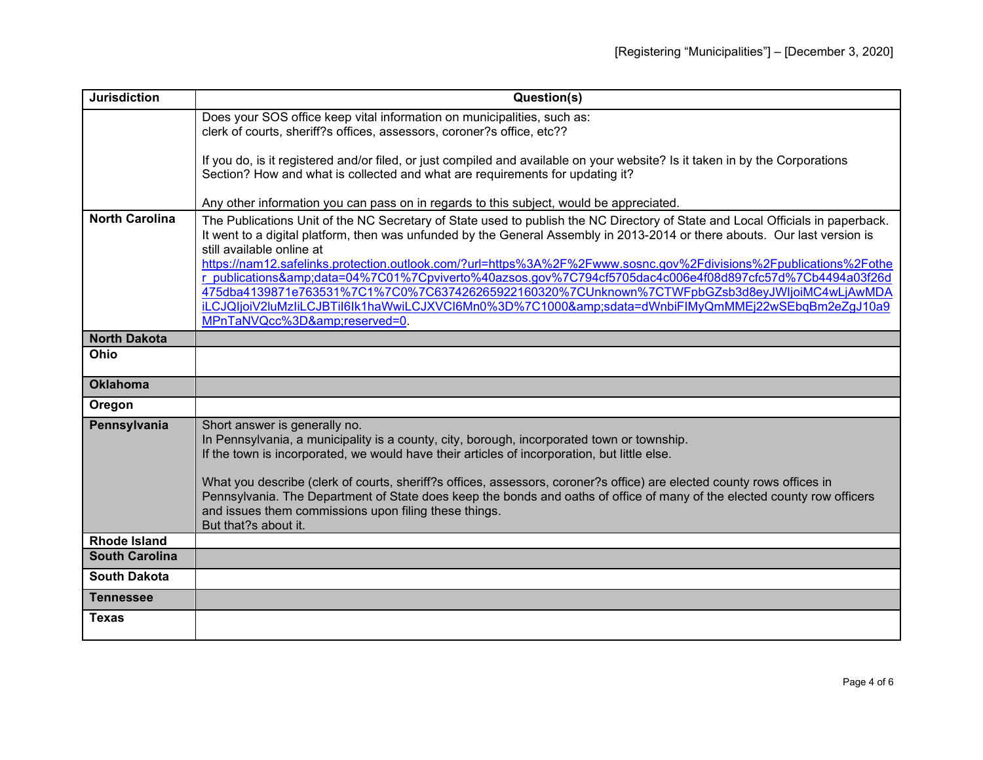| <b>Jurisdiction</b>   | Question(s)                                                                                                                                                                                                                                        |
|-----------------------|----------------------------------------------------------------------------------------------------------------------------------------------------------------------------------------------------------------------------------------------------|
|                       | Does your SOS office keep vital information on municipalities, such as:                                                                                                                                                                            |
|                       | clerk of courts, sheriff?s offices, assessors, coroner?s office, etc??                                                                                                                                                                             |
|                       | If you do, is it registered and/or filed, or just compiled and available on your website? Is it taken in by the Corporations                                                                                                                       |
|                       | Section? How and what is collected and what are requirements for updating it?                                                                                                                                                                      |
|                       | Any other information you can pass on in regards to this subject, would be appreciated.                                                                                                                                                            |
| <b>North Carolina</b> | The Publications Unit of the NC Secretary of State used to publish the NC Directory of State and Local Officials in paperback.                                                                                                                     |
|                       | It went to a digital platform, then was unfunded by the General Assembly in 2013-2014 or there abouts. Our last version is<br>still available online at                                                                                            |
|                       | https://nam12.safelinks.protection.outlook.com/?url=https%3A%2F%2Fwww.sosnc.gov%2Fdivisions%2Fpublications%2Fothe                                                                                                                                  |
|                       | r publications&data=04%7C01%7Cpviverto%40azsos.gov%7C794cf5705dac4c006e4f08d897cfc57d%7Cb4494a03f26d<br>475dba4139871e763531%7C1%7C0%7C637426265922160320%7CUnknown%7CTWFpbGZsb3d8eyJWljoiMC4wLjAwMDA                                              |
|                       | iLCJQIjoiV2luMzliLCJBTil6lk1haWwiLCJXVCl6Mn0%3D%7C1000&sdata=dWnbiFlMyQmMMEj22wSEbqBm2eZgJ10a9                                                                                                                                                     |
|                       | MPnTaNVQcc%3D&reserved=0.                                                                                                                                                                                                                          |
| <b>North Dakota</b>   |                                                                                                                                                                                                                                                    |
| Ohio                  |                                                                                                                                                                                                                                                    |
| <b>Oklahoma</b>       |                                                                                                                                                                                                                                                    |
| Oregon                |                                                                                                                                                                                                                                                    |
| Pennsylvania          | Short answer is generally no.                                                                                                                                                                                                                      |
|                       | In Pennsylvania, a municipality is a county, city, borough, incorporated town or township.<br>If the town is incorporated, we would have their articles of incorporation, but little else.                                                         |
|                       |                                                                                                                                                                                                                                                    |
|                       | What you describe (clerk of courts, sheriff?s offices, assessors, coroner?s office) are elected county rows offices in<br>Pennsylvania. The Department of State does keep the bonds and oaths of office of many of the elected county row officers |
|                       | and issues them commissions upon filing these things.                                                                                                                                                                                              |
|                       | But that?s about it.                                                                                                                                                                                                                               |
| <b>Rhode Island</b>   |                                                                                                                                                                                                                                                    |
| <b>South Carolina</b> |                                                                                                                                                                                                                                                    |
| <b>South Dakota</b>   |                                                                                                                                                                                                                                                    |
| <b>Tennessee</b>      |                                                                                                                                                                                                                                                    |
| <b>Texas</b>          |                                                                                                                                                                                                                                                    |
|                       |                                                                                                                                                                                                                                                    |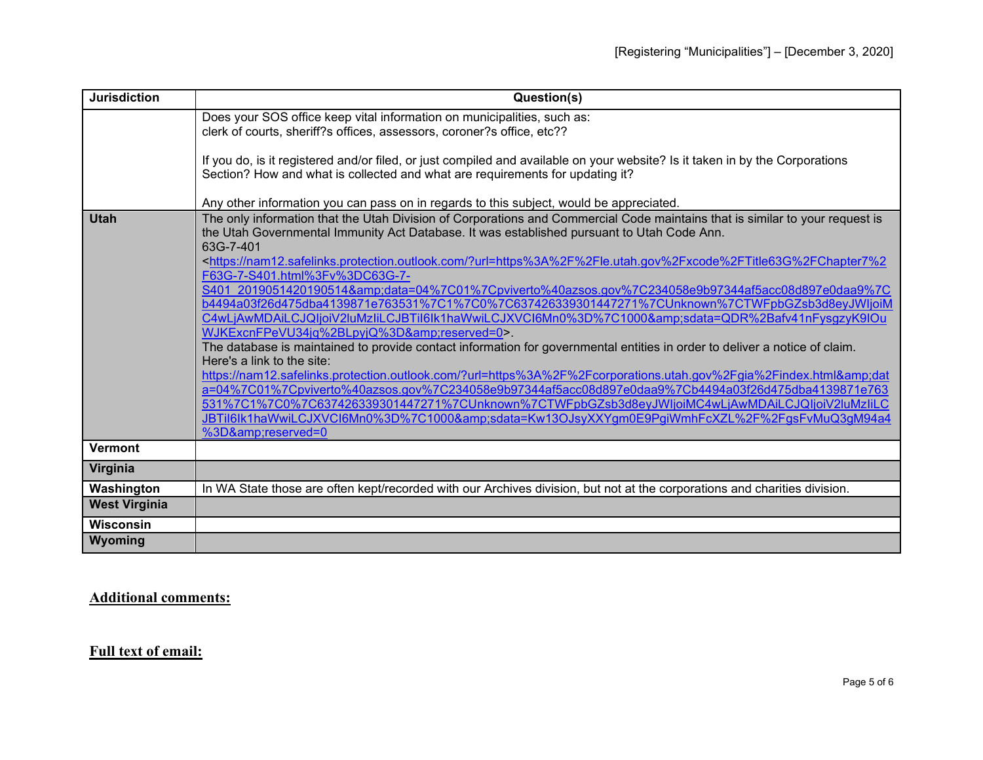| <b>Jurisdiction</b>  | Question(s)                                                                                                                                                                                                   |
|----------------------|---------------------------------------------------------------------------------------------------------------------------------------------------------------------------------------------------------------|
|                      | Does your SOS office keep vital information on municipalities, such as:                                                                                                                                       |
|                      | clerk of courts, sheriff?s offices, assessors, coroner?s office, etc??                                                                                                                                        |
|                      |                                                                                                                                                                                                               |
|                      | If you do, is it registered and/or filed, or just compiled and available on your website? Is it taken in by the Corporations<br>Section? How and what is collected and what are requirements for updating it? |
|                      |                                                                                                                                                                                                               |
|                      | Any other information you can pass on in regards to this subject, would be appreciated.                                                                                                                       |
| <b>Utah</b>          | The only information that the Utah Division of Corporations and Commercial Code maintains that is similar to your request is                                                                                  |
|                      | the Utah Governmental Immunity Act Database. It was established pursuant to Utah Code Ann.                                                                                                                    |
|                      | 63G-7-401                                                                                                                                                                                                     |
|                      | <https: ?url="https%3A%2F%2Fle.utah.gov%2Fxcode%2FTitle63G%2FChapter7%2&lt;br" nam12.safelinks.protection.outlook.com="">F63G-7-S401.html%3Fv%3DC63G-7-</https:>                                              |
|                      | S401 2019051420190514&data=04%7C01%7Cpviverto%40azsos.gov%7C234058e9b97344af5acc08d897e0daa9%7C                                                                                                               |
|                      | b4494a03f26d475dba4139871e763531%7C1%7C0%7C637426339301447271%7CUnknown%7CTWFpbGZsb3d8eyJWljoiM                                                                                                               |
|                      | C4wLjAwMDAiLCJQIjoiV2luMzliLCJBTil6lk1haWwiLCJXVCl6Mn0%3D%7C1000&sdata=QDR%2Bafv41nFysgzyK9lOu                                                                                                                |
|                      | WJKExcnFPeVU34jq%2BLpyjQ%3D&reserved=0>.                                                                                                                                                                      |
|                      | The database is maintained to provide contact information for governmental entities in order to deliver a notice of claim.                                                                                    |
|                      | Here's a link to the site:<br>https://nam12.safelinks.protection.outlook.com/?url=https%3A%2F%2Fcorporations.utah.gov%2Fgia%2Findex.html&dat                                                                  |
|                      | a=04%7C01%7Cpviverto%40azsos.gov%7C234058e9b97344af5acc08d897e0daa9%7Cb4494a03f26d475dba4139871e763                                                                                                           |
|                      | 531%7C1%7C0%7C637426339301447271%7CUnknown%7CTWFpbGZsb3d8eyJWljoiMC4wLjAwMDAiLCJQIjoiV2luMzliLC                                                                                                               |
|                      | JBTil6lk1haWwiLCJXVCl6Mn0%3D%7C1000&sdata=Kw13OJsyXXYgm0E9PgiWmhFcXZL%2F%2FgsFvMuQ3gM94a4                                                                                                                     |
|                      | %3D&reserved=0                                                                                                                                                                                                |
| <b>Vermont</b>       |                                                                                                                                                                                                               |
| Virginia             |                                                                                                                                                                                                               |
| Washington           | In WA State those are often kept/recorded with our Archives division, but not at the corporations and charities division.                                                                                     |
| <b>West Virginia</b> |                                                                                                                                                                                                               |
| Wisconsin            |                                                                                                                                                                                                               |
| Wyoming              |                                                                                                                                                                                                               |

**Additional comments:**

**Full text of email:**